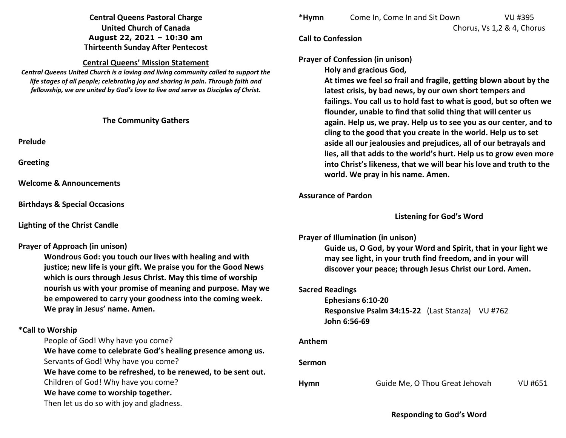# **Central Queens Pastoral Charge United Church of Canada August 22, 2021 – 10:30 am Thirteenth Sunday After Pentecost**

### **Central Queens' Mission Statement**

 *Central Queens United Church is a loving and living community called to support the life stages of all people; celebrating joy and sharing in pain. Through faith and fellowship, we are united by God's love to live and serve as Disciples of Christ***.** 

### **The Community Gathers**

**Prelude** 

**Greeting** 

**Welcome & Announcements** 

**Birthdays & Special Occasions** 

**Lighting of the Christ Candle** 

### **Prayer of Approach (in unison)**

**Wondrous God: you touch our lives with healing and with justice; new life is your gift. We praise you for the Good News which is ours through Jesus Christ. May this time of worship nourish us with your promise of meaning and purpose. May we be empowered to carry your goodness into the coming week. We pray in Jesus' name. Amen.** 

# **\*Call to Worship**

People of God! Why have you come?

**We have come to celebrate God's healing presence among us.**Servants of God! Why have you come?

**We have come to be refreshed, to be renewed, to be sent out.**

Children of God! Why have you come?

**We have come to worship together.**

Then let us do so with joy and gladness.

| *Hymn | Come In, Come In and Sit Down | VU #395                    |
|-------|-------------------------------|----------------------------|
|       |                               | Chorus, Vs 1,2 & 4, Chorus |

### **Call to Confession**

**Prayer of Confession (in unison)**

**Holy and gracious God,** 

**At times we feel so frail and fragile, getting blown about by the latest crisis, by bad news, by our own short tempers and failings. You call us to hold fast to what is good, but so often we flounder, unable to find that solid thing that will center us again. Help us, we pray. Help us to see you as our center, and to cling to the good that you create in the world. Help us to set aside all our jealousies and prejudices, all of our betrayals and lies, all that adds to the world's hurt. Help us to grow even more into Christ's likeness, that we will bear his love and truth to the world. We pray in his name. Amen.**

## **Assurance of Pardon**

### **Listening for God's Word**

**Prayer of Illumination (in unison)** 

**Guide us, O God, by your Word and Spirit, that in your light we may see light, in your truth find freedom, and in your will discover your peace; through Jesus Christ our Lord. Amen.** 

**Sacred Readings** 

 **Ephesians 6:10-20 Responsive Psalm 34:15-22** (Last Stanza) VU #762 **John 6:56-69** 

**Anthem** 

**Sermon** 

**Hymn** Guide Me, O Thou Great Jehovah VU #651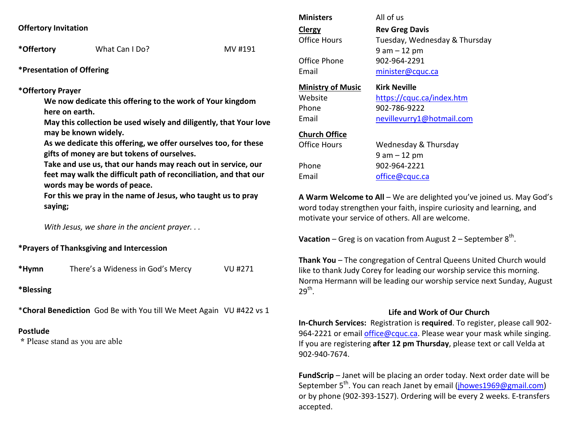\*Offertory What Can I Do? MV #191

**\*Presentation of Offering** 

#### **\*Offertory Prayer**

**We now dedicate this offering to the work of Your kingdom here on earth.** 

**May this collection be used wisely and diligently, that Your love may be known widely.** 

**As we dedicate this offering, we offer ourselves too, for these gifts of money are but tokens of ourselves.** 

**Take and use us, that our hands may reach out in service, our feet may walk the difficult path of reconciliation, and that our words may be words of peace.** 

**For this we pray in the name of Jesus, who taught us to pray saying;** 

*With Jesus, we share in the ancient prayer. . .*

### **\*Prayers of Thanksgiving and Intercession**

| *Hymn | There's a Wideness in God's Mercy | VU #271 |
|-------|-----------------------------------|---------|
|-------|-----------------------------------|---------|

**\*Blessing** 

\***Choral Benediction** God Be with You till We Meet Again VU #422 vs 1

### **Postlude**

 **\*** Please stand as you are able

| <b>Ministers</b><br>Clergy<br>Office Hours<br>Office Phone<br>Email | All of us<br><b>Rev Greg Davis</b><br>Tuesday, Wednesday & Thursday<br>$9$ am $-12$ pm<br>902-964-2291<br>minister@cquc.ca |
|---------------------------------------------------------------------|----------------------------------------------------------------------------------------------------------------------------|
| <b>Ministry of Music</b>                                            | <b>Kirk Neville</b>                                                                                                        |
| Website                                                             | https://cquc.ca/index.htm                                                                                                  |
| Phone                                                               | 902-786-9222                                                                                                               |
| Email                                                               | nevillevurry1@hotmail.com                                                                                                  |
| <b>Church Office</b>                                                | Wednesday & Thursday                                                                                                       |
| Office Hours                                                        | 9 am – 12 pm                                                                                                               |
| Phone                                                               | 902-964-2221                                                                                                               |
| Email                                                               | office@cquc.ca                                                                                                             |

**A Warm Welcome to All** – We are delighted you've joined us. May God's word today strengthen your faith, inspire curiosity and learning, and motivate your service of others. All are welcome.

**Vacation** – Greg is on vacation from August  $2$  – September  $8<sup>th</sup>$ .

**Thank You** – The congregation of Central Queens United Church would like to thank Judy Corey for leading our worship service this morning. Norma Hermann will be leading our worship service next Sunday, August  $29<sup>th</sup>$ .

### **Life and Work of Our Church**

 **In-Church Services:** Registration is **required**. To register, please call 902-964-2221 or email *office@cquc.ca*. Please wear your mask while singing. If you are registering **after 12 pm Thursday**, please text or call Velda at 902-940-7674.

**FundScrip** – Janet will be placing an order today. Next order date will be September 5<sup>th</sup>. You can reach Janet by email (jhowes1969@gmail.com) or by phone (902-393-1527). Ordering will be every 2 weeks. E-transfers accepted.